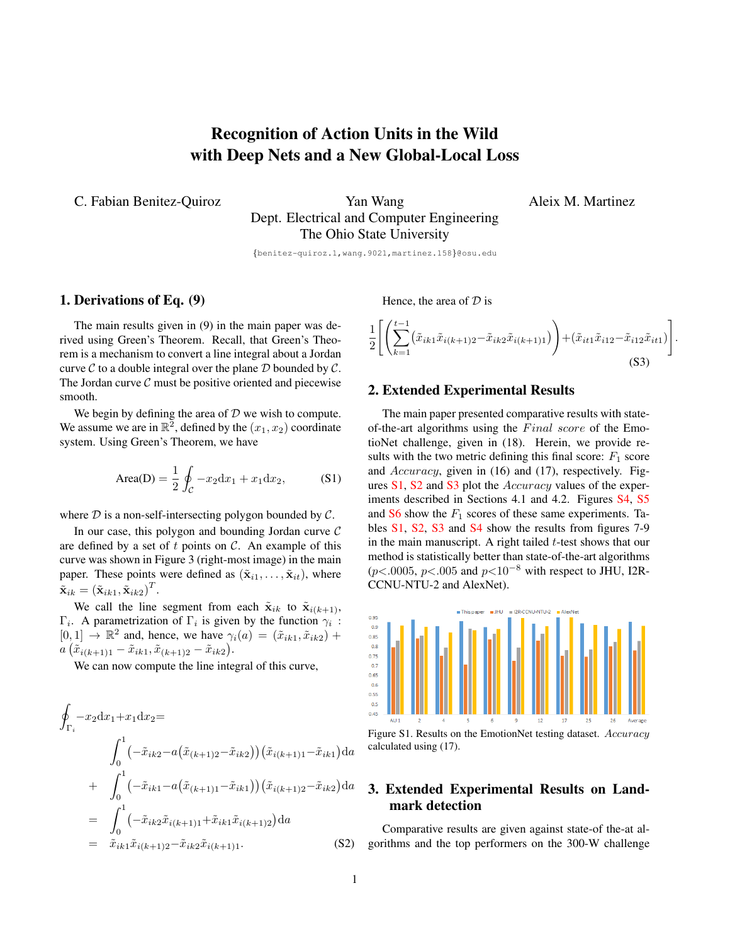# Recognition of Action Units in the Wild with Deep Nets and a New Global-Local Loss

C. Fabian Benitez-Quiroz Yan Wang

Aleix M. Martinez

Dept. Electrical and Computer Engineering The Ohio State University

{benitez-quiroz.1,wang.9021,martinez.158}@osu.edu

#### 1. Derivations of Eq. (9)

The main results given in (9) in the main paper was derived using Green's Theorem. Recall, that Green's Theorem is a mechanism to convert a line integral about a Jordan curve  $\mathcal C$  to a double integral over the plane  $\mathcal D$  bounded by  $\mathcal C$ . The Jordan curve  $\mathcal C$  must be positive oriented and piecewise smooth.

We begin by defining the area of  $D$  we wish to compute. We assume we are in  $\mathbb{R}^2$ , defined by the  $(x_1, x_2)$  coordinate system. Using Green's Theorem, we have

Area(D) = 
$$
\frac{1}{2} \oint_C -x_2 dx_1 + x_1 dx_2,
$$
 (S1)

where  $D$  is a non-self-intersecting polygon bounded by  $C$ .

In our case, this polygon and bounding Jordan curve  $C$ are defined by a set of t points on  $\mathcal{C}$ . An example of this curve was shown in Figure 3 (right-most image) in the main paper. These points were defined as  $(\tilde{\mathbf{x}}_{i1}, \dots, \tilde{\mathbf{x}}_{it})$ , where  $\tilde{\mathbf{x}}_{ik} = (\tilde{\mathbf{x}}_{ik1}, \tilde{\mathbf{x}}_{ik2})^T.$ 

We call the line segment from each  $\tilde{\mathbf{x}}_{ik}$  to  $\tilde{\mathbf{x}}_{i(k+1)}$ ,  $\Gamma_i$ . A parametrization of  $\Gamma_i$  is given by the function  $\gamma_i$ :  $[0, 1] \rightarrow \mathbb{R}^2$  and, hence, we have  $\gamma_i(a) = (\tilde{x}_{ik1}, \tilde{x}_{ik2}) +$  $a\left(\tilde{x}_{i(k+1)1} - \tilde{x}_{ik1}, \tilde{x}_{(k+1)2} - \tilde{x}_{ik2}\right).$ 

We can now compute the line integral of this curve,

$$
\oint_{\Gamma_i} -x_2 dx_1 + x_1 dx_2 =
$$
\n
$$
\int_0^1 \left( -\tilde{x}_{ik2} - a(\tilde{x}_{(k+1)2} - \tilde{x}_{ik2})) (\tilde{x}_{i(k+1)1} - \tilde{x}_{ik1}) da
$$
\n
$$
+ \int_0^1 \left( -\tilde{x}_{ik1} - a(\tilde{x}_{(k+1)1} - \tilde{x}_{ik1})) (\tilde{x}_{i(k+1)2} - \tilde{x}_{ik2}) da \right)
$$
\n
$$
= \int_0^1 \left( -\tilde{x}_{ik2} \tilde{x}_{i(k+1)1} + \tilde{x}_{ik1} \tilde{x}_{i(k+1)2}) da \right)
$$
\n
$$
= \tilde{x}_{ik1} \tilde{x}_{i(k+1)2} - \tilde{x}_{ik2} \tilde{x}_{i(k+1)1}.
$$
\n(S2)

Hence, the area of  $D$  is

$$
\frac{1}{2} \left[ \left( \sum_{k=1}^{t-1} (\tilde{x}_{ik1} \tilde{x}_{i(k+1)2} - \tilde{x}_{ik2} \tilde{x}_{i(k+1)1}) \right) + (\tilde{x}_{it1} \tilde{x}_{i12} - \tilde{x}_{i12} \tilde{x}_{it1}) \right].
$$
\n(S3)

#### 2. Extended Experimental Results

The main paper presented comparative results with stateof-the-art algorithms using the  $Final\ score$  of the EmotioNet challenge, given in (18). Herein, we provide results with the two metric defining this final score:  $F_1$  score and Accuracy, given in (16) and (17), respectively. Fig-ures [S1,](#page-0-0) [S2](#page-1-0) and [S3](#page-1-1) plot the *Accuracy* values of the exper-iments described in Sections 4.1 and 4.2. Figures [S4,](#page-1-2) [S5](#page-1-3) and  $S6$  show the  $F_1$  scores of these same experiments. Tables [S1,](#page-1-5) [S2,](#page-1-6) [S3](#page-2-0) and [S4](#page-2-1) show the results from figures 7-9 in the main manuscript. A right tailed  $t$ -test shows that our method is statistically better than state-of-the-art algorithms ( $p$ <.0005,  $p$ <.005 and  $p$ <10<sup>-8</sup> with respect to JHU, I2R-CCNU-NTU-2 and AlexNet).



<span id="page-0-0"></span>Figure S1. Results on the EmotionNet testing dataset. Accuracy calculated using (17).

## 3. Extended Experimental Results on Landmark detection

Comparative results are given against state-of the-at algorithms and the top performers on the 300-W challenge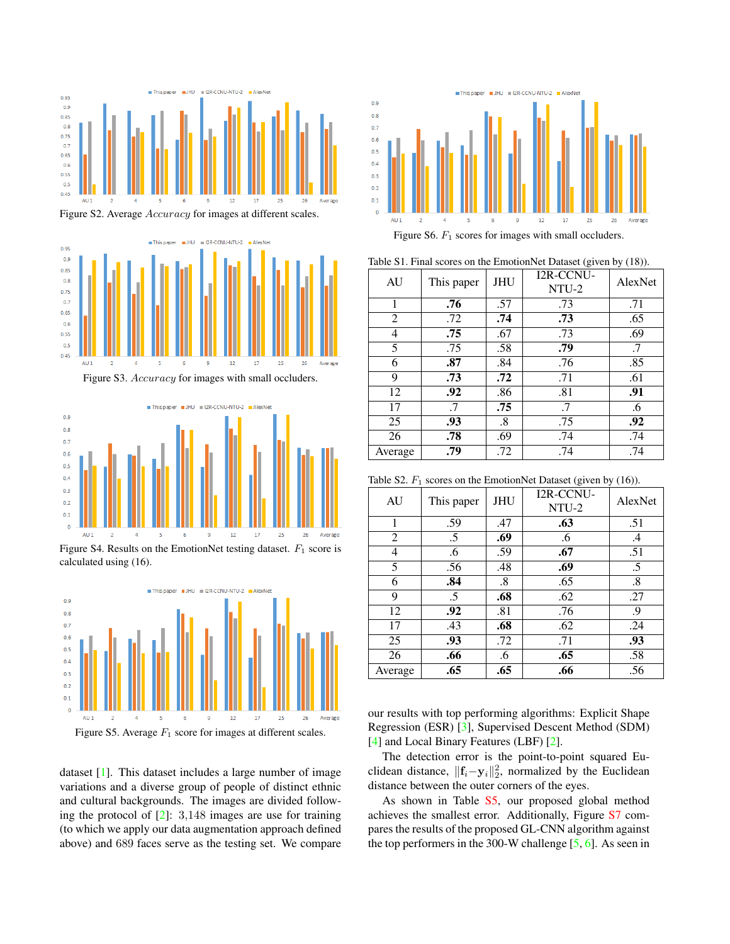<span id="page-1-7"></span>

<span id="page-1-0"></span>Figure S2. Average Accuracy for images at different scales.



<span id="page-1-1"></span>Figure S3. Accuracy for images with small occluders.



<span id="page-1-2"></span>Figure S4. Results on the EmotionNet testing dataset.  $F_1$  score is calculated using (16).



<span id="page-1-3"></span>Figure S5. Average  $F_1$  score for images at different scales.

dataset [\[1\]](#page-2-2). This dataset includes a large number of image variations and a diverse group of people of distinct ethnic and cultural backgrounds. The images are divided following the protocol of [\[2\]](#page-2-3): 3,148 images are use for training (to which we apply our data augmentation approach defined above) and 689 faces serve as the testing set. We compare



<span id="page-1-5"></span><span id="page-1-4"></span>Table S1. Final scores on the EmotionNet Dataset (given by (18)).

| AU      | This paper | <b>JHU</b> | <b>I2R-CCNU-</b><br>NTU-2 | AlexNet |
|---------|------------|------------|---------------------------|---------|
| 1       | .76        | .57        | .73                       | .71     |
| 2       | .72        | .74        | .73                       | .65     |
| 4       | .75        | .67        | .73                       | .69     |
| 5       | .75        | .58        | .79                       | .7      |
| 6       | .87        | .84        | .76                       | .85     |
| 9       | .73        | .72        | .71                       | .61     |
| 12      | .92        | .86        | .81                       | .91     |
| 17      | .7         | .75        | .7                        | .6      |
| 25      | .93        | $\cdot$ 8  | .75                       | .92     |
| 26      | .78        | .69        | .74                       | .74     |
| Average | .79        | .72        | .74                       | .74     |

<span id="page-1-6"></span>Table S2.  $F_1$  scores on the EmotionNet Dataset (given by (16)).

| AU      | This paper | <b>JHU</b> | I2R-CCNU-<br>NTU-2 | AlexNet |
|---------|------------|------------|--------------------|---------|
| 1       | .59        | .47        | .63                | .51     |
| 2       | .5         | .69        | .6                 | .4      |
| 4       | .6         | .59        | .67                | .51     |
| 5       | .56        | .48        | .69                | .5      |
| 6       | .84        | .8         | .65                | .8      |
| 9       | $.5\,$     | .68        | .62                | .27     |
| 12      | .92        | .81        | .76                | .9      |
| 17      | .43        | .68        | .62                | .24     |
| 25      | .93        | .72        | .71                | .93     |
| 26      | .66        | .6         | .65                | .58     |
| Average | .65        | .65        | .66                | .56     |

our results with top performing algorithms: Explicit Shape Regression (ESR) [\[3\]](#page-2-4), Supervised Descent Method (SDM) [\[4\]](#page-2-5) and Local Binary Features (LBF) [\[2\]](#page-2-3).

The detection error is the point-to-point squared Euclidean distance,  $||\mathbf{f}_i - \mathbf{y}_i||_2^2$ , normalized by the Euclidean distance between the outer corners of the eyes.

As shown in Table [S5,](#page-2-6) our proposed global method achieves the smallest error. Additionally, Figure [S7](#page-2-7) compares the results of the proposed GL-CNN algorithm against the top performers in the 300-W challenge  $[5, 6]$  $[5, 6]$  $[5, 6]$ . As seen in